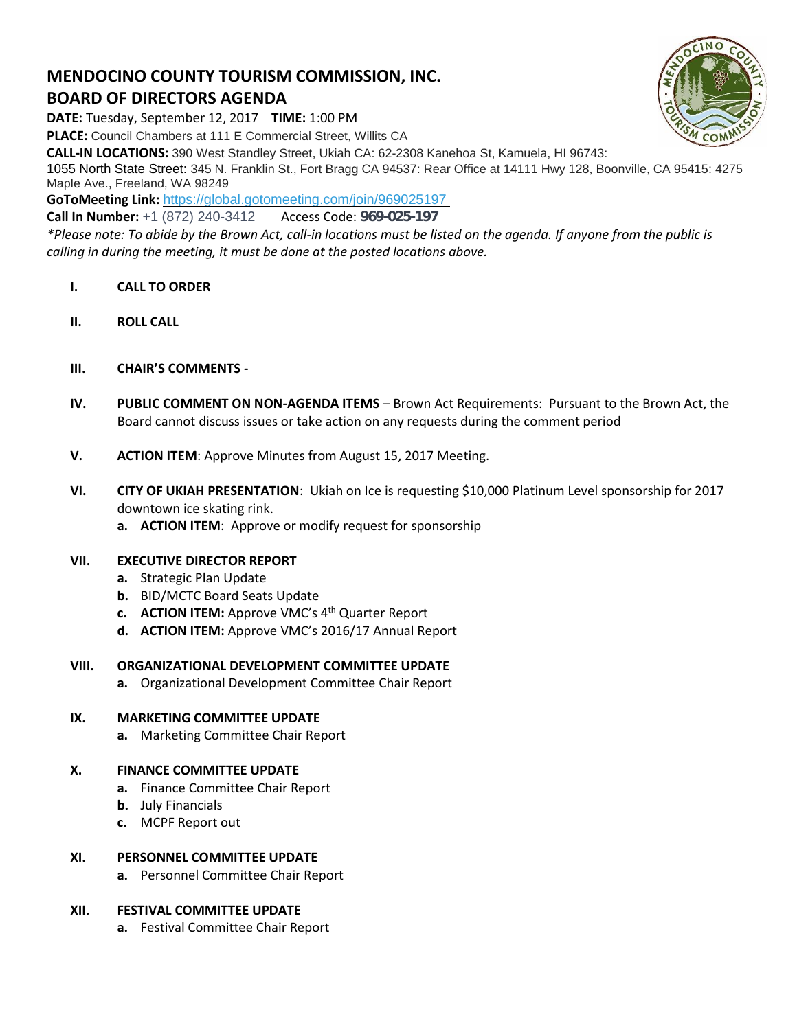# **MENDOCINO COUNTY TOURISM COMMISSION, INC. BOARD OF DIRECTORS AGENDA**

**DATE:** Tuesday, September 12, 2017 **TIME:** 1:00 PM

**PLACE:** Council Chambers at 111 E Commercial Street, Willits CA

**CALL-IN LOCATIONS:** 390 West Standley Street, Ukiah CA: 62-2308 Kanehoa St, Kamuela, HI 96743:

1055 North State Street: 345 N. Franklin St., Fort Bragg CA 94537: Rear Office at 14111 Hwy 128, Boonville, CA 95415: 4275 Maple Ave., Freeland, WA 98249

**GoToMeeting Link:** <https://global.gotomeeting.com/join/969025197>

**Call In Number:** +1 (872) 240-3412 Access Code: 969-025-197

*\*Please note: To abide by the Brown Act, call-in locations must be listed on the agenda. If anyone from the public is calling in during the meeting, it must be done at the posted locations above.*

- **I. CALL TO ORDER**
- **II. ROLL CALL**
- **III. CHAIR'S COMMENTS -**
- **IV. PUBLIC COMMENT ON NON-AGENDA ITEMS** Brown Act Requirements: Pursuant to the Brown Act, the Board cannot discuss issues or take action on any requests during the comment period
- **V. ACTION ITEM**: Approve Minutes from August 15, 2017 Meeting.
- **VI. CITY OF UKIAH PRESENTATION**: Ukiah on Ice is requesting \$10,000 Platinum Level sponsorship for 2017 downtown ice skating rink.
	- **a. ACTION ITEM**: Approve or modify request for sponsorship

### **VII. EXECUTIVE DIRECTOR REPORT**

- **a.** Strategic Plan Update
- **b.** BID/MCTC Board Seats Update
- **c. ACTION ITEM:** Approve VMC's 4 th Quarter Report
- **d. ACTION ITEM:** Approve VMC's 2016/17 Annual Report

### **VIII. ORGANIZATIONAL DEVELOPMENT COMMITTEE UPDATE**

**a.** Organizational Development Committee Chair Report

## **IX. MARKETING COMMITTEE UPDATE**

**a.** Marketing Committee Chair Report

### **X. FINANCE COMMITTEE UPDATE**

- **a.** Finance Committee Chair Report
- **b.** July Financials
- **c.** MCPF Report out

### **XI. PERSONNEL COMMITTEE UPDATE**

**a.** Personnel Committee Chair Report

## **XII. FESTIVAL COMMITTEE UPDATE**

**a.** Festival Committee Chair Report